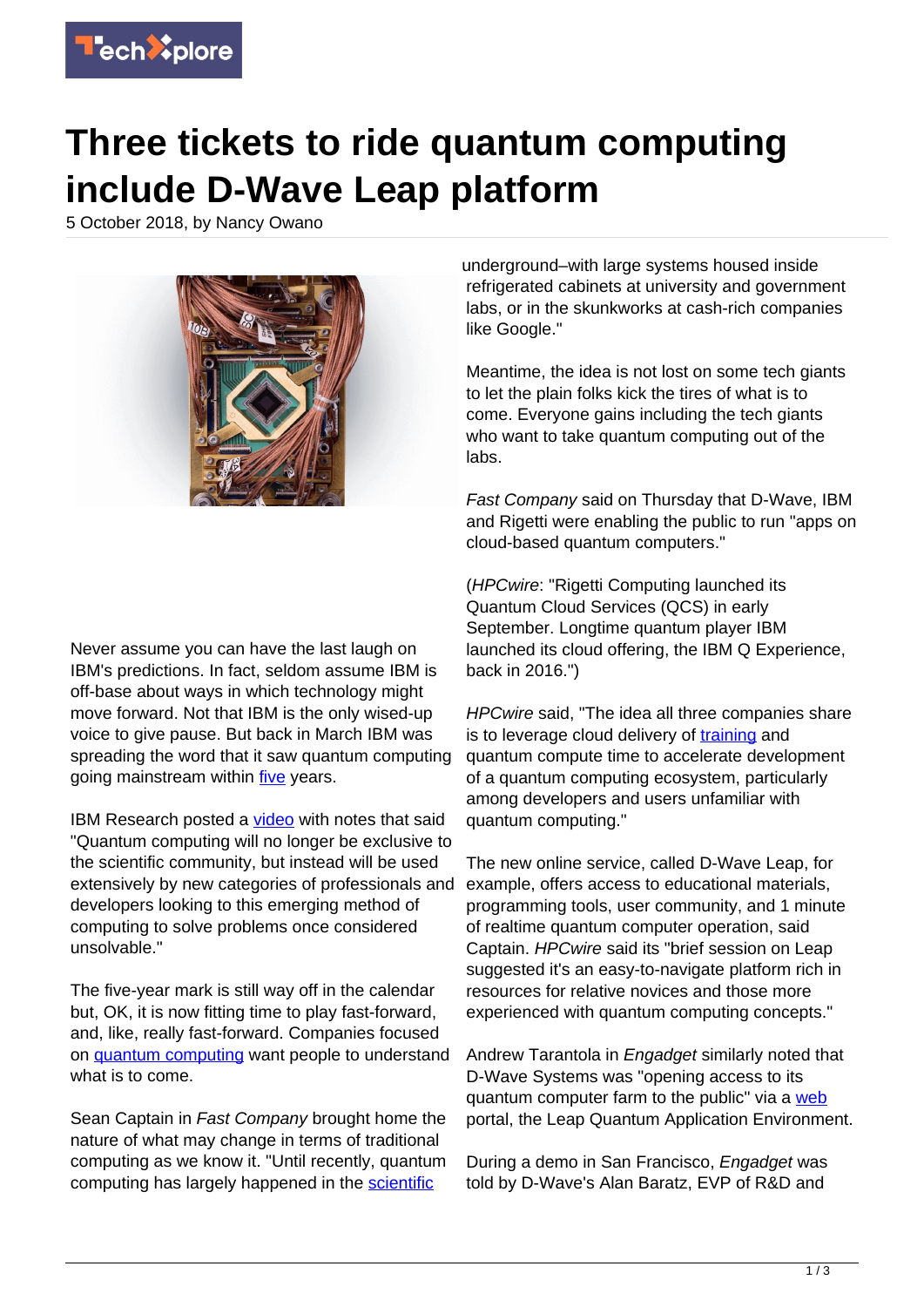

## **Three tickets to ride quantum computing include D-Wave Leap platform**

5 October 2018, by Nancy Owano



Never assume you can have the last laugh on IBM's predictions. In fact, seldom assume IBM is off-base about ways in which technology might move forward. Not that IBM is the only wised-up voice to give pause. But back in March IBM was spreading the word that it saw quantum computing going mainstream within *five* years.

IBM Research posted a [video](https://www.youtube.com/watch?v=bhYHto5ss7M) with notes that said "Quantum computing will no longer be exclusive to the scientific community, but instead will be used extensively by new categories of professionals and developers looking to this emerging method of computing to solve problems once considered unsolvable."

The five-year mark is still way off in the calendar but, OK, it is now fitting time to play fast-forward, and, like, really fast-forward. Companies focused on [quantum computing](https://techxplore.com/tags/quantum+computing/) want people to understand what is to come.

Sean Captain in Fast Company brought home the nature of what may change in terms of traditional computing as we know it. "Until recently, quantum computing has largely happened in the [scientific](https://www.fastcompany.com/90245982/quantum-computing-comes-out-of-the-closet-d-wave-leap)

underground–with large systems housed inside refrigerated cabinets at university and government labs, or in the skunkworks at cash-rich companies like Google."

Meantime, the idea is not lost on some tech giants to let the plain folks kick the tires of what is to come. Everyone gains including the tech giants who want to take quantum computing out of the labs.

Fast Company said on Thursday that D-Wave, IBM and Rigetti were enabling the public to run "apps on cloud-based quantum computers."

(HPCwire: "Rigetti Computing launched its Quantum Cloud Services (QCS) in early September. Longtime quantum player IBM launched its cloud offering, the IBM Q Experience, back in 2016.")

HPCwire said, "The idea all three companies share is to leverage cloud delivery of [training](https://www.hpcwire.com/2018/10/04/quantum-pioneer-d-wave-launches-cloud-platform/) and quantum compute time to accelerate development of a quantum computing ecosystem, particularly among developers and users unfamiliar with quantum computing."

The new online service, called D-Wave Leap, for example, offers access to educational materials, programming tools, user community, and 1 minute of realtime quantum computer operation, said Captain. HPCwire said its "brief session on Leap suggested it's an easy-to-navigate platform rich in resources for relative novices and those more experienced with quantum computing concepts."

Andrew Tarantola in Engadget similarly noted that D-Wave Systems was "opening access to its quantum computer farm to the public" via a [web](https://www.engadget.com/2018/10/04/d-wave-takes-quantum-computers-mainstream-with-leap/) portal, the Leap Quantum Application Environment.

During a demo in San Francisco, Engadget was told by D-Wave's Alan Baratz, EVP of R&D and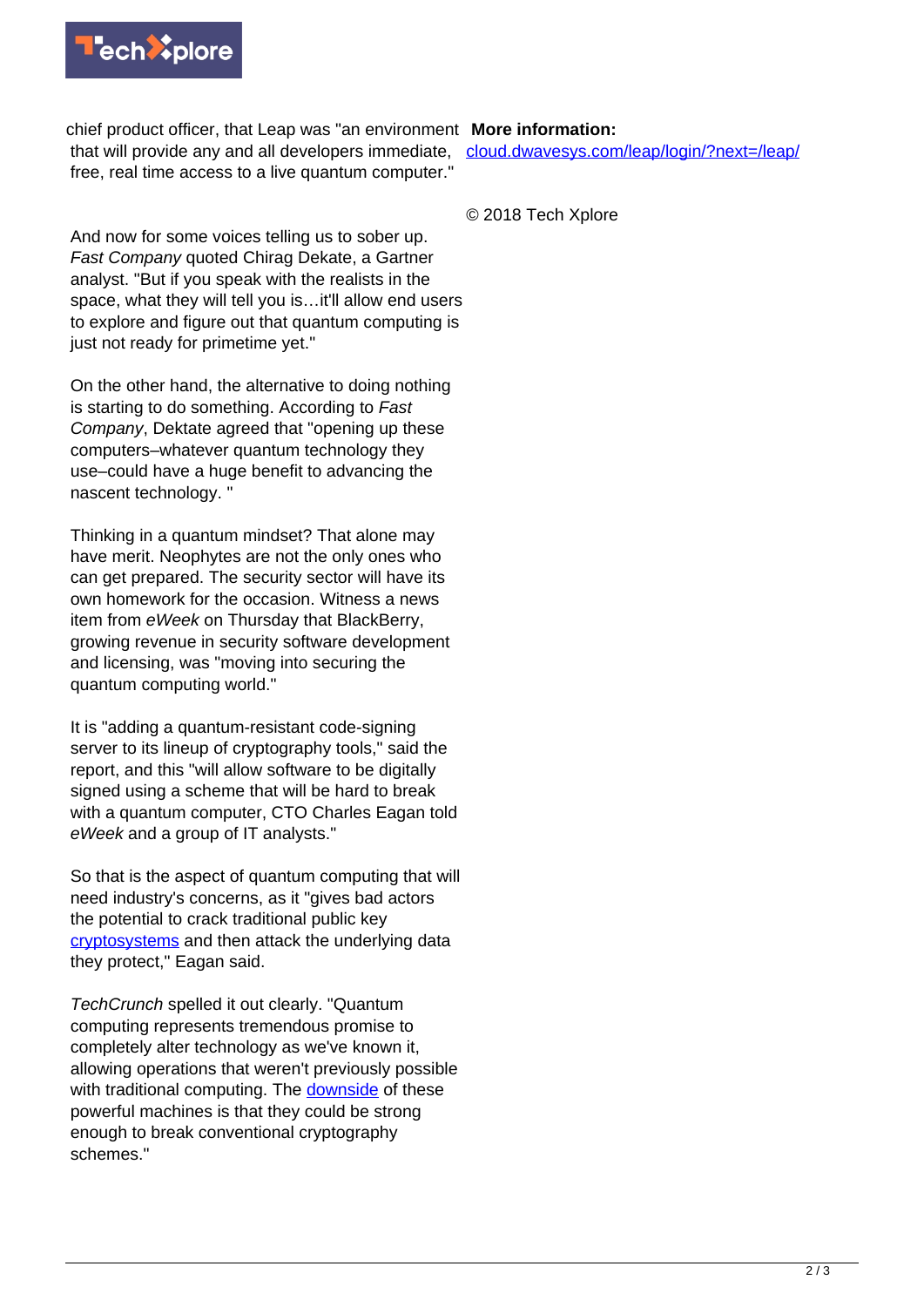

chief product officer, that Leap was "an environment **More information:** that will provide any and all developers immediate, free, real time access to a live quantum computer."

And now for some voices telling us to sober up. Fast Company quoted Chirag Dekate, a Gartner analyst. "But if you speak with the realists in the space, what they will tell you is…it'll allow end users to explore and figure out that quantum computing is just not ready for primetime yet."

On the other hand, the alternative to doing nothing is starting to do something. According to Fast Company, Dektate agreed that "opening up these computers–whatever quantum technology they use–could have a huge benefit to advancing the nascent technology. "

Thinking in a quantum mindset? That alone may have merit. Neophytes are not the only ones who can get prepared. The security sector will have its own homework for the occasion. Witness a news item from eWeek on Thursday that BlackBerry, growing revenue in security software development and licensing, was "moving into securing the quantum computing world."

It is "adding a quantum-resistant code-signing server to its lineup of cryptography tools," said the report, and this "will allow software to be digitally signed using a scheme that will be hard to break with a quantum computer, CTO Charles Eagan told eWeek and a group of IT analysts."

So that is the aspect of quantum computing that will need industry's concerns, as it "gives bad actors the potential to crack traditional public key [cryptosystems](http://www.eweek.com/security/blackberry-to-add-quantum-resistant-server-to-cybersecurity-platform) and then attack the underlying data they protect," Eagan said.

TechCrunch spelled it out clearly. "Quantum computing represents tremendous promise to completely alter technology as we've known it, allowing operations that weren't previously possible with traditional computing. The [downside](https://techcrunch.com/2018/10/04/blackberry-races-ahead-of-security-curve-with-quantum-resistant-solution/) of these powerful machines is that they could be strong enough to break conventional cryptography schemes."

[cloud.dwavesys.com/leap/login/?next=/leap/](https://cloud.dwavesys.com/leap/login/?next=/leap/)

© 2018 Tech Xplore